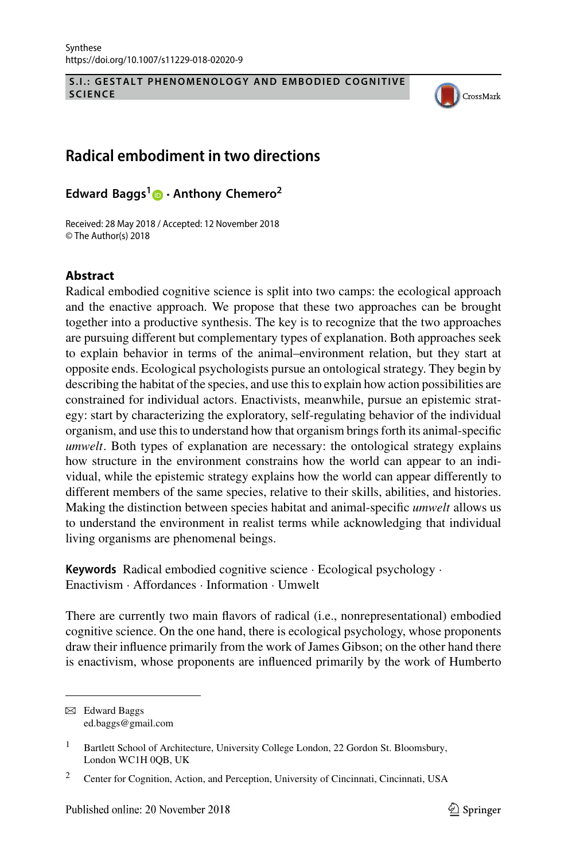**S.I.: GESTALT PHENOMENOLOGY AND EMBODIED COGNITIVE SCIENCE**



# **Radical embodiment in two directions**

**Edward Baggs[1](http://orcid.org/0000-0003-3203-1250) · Anthony Chemero<sup>2</sup>**

Received: 28 May 2018 / Accepted: 12 November 2018 © The Author(s) 2018

# **Abstract**

Radical embodied cognitive science is split into two camps: the ecological approach and the enactive approach. We propose that these two approaches can be brought together into a productive synthesis. The key is to recognize that the two approaches are pursuing different but complementary types of explanation. Both approaches seek to explain behavior in terms of the animal–environment relation, but they start at opposite ends. Ecological psychologists pursue an ontological strategy. They begin by describing the habitat of the species, and use this to explain how action possibilities are constrained for individual actors. Enactivists, meanwhile, pursue an epistemic strategy: start by characterizing the exploratory, self-regulating behavior of the individual organism, and use this to understand how that organism brings forth its animal-specific *umwelt*. Both types of explanation are necessary: the ontological strategy explains how structure in the environment constrains how the world can appear to an individual, while the epistemic strategy explains how the world can appear differently to different members of the same species, relative to their skills, abilities, and histories. Making the distinction between species habitat and animal-specific *umwelt* allows us to understand the environment in realist terms while acknowledging that individual living organisms are phenomenal beings.

**Keywords** Radical embodied cognitive science · Ecological psychology · Enactivism · Affordances · Information · Umwelt

There are currently two main flavors of radical (i.e., nonrepresentational) embodied cognitive science. On the one hand, there is ecological psychology, whose proponents draw their influence primarily from the work of James Gibson; on the other hand there is enactivism, whose proponents are influenced primarily by the work of Humberto

 $\boxtimes$  Edward Baggs ed.baggs@gmail.com

<sup>&</sup>lt;sup>1</sup> Bartlett School of Architecture, University College London, 22 Gordon St. Bloomsbury, London WC1H 0QB, UK

<sup>&</sup>lt;sup>2</sup> Center for Cognition, Action, and Perception, University of Cincinnati, Cincinnati, USA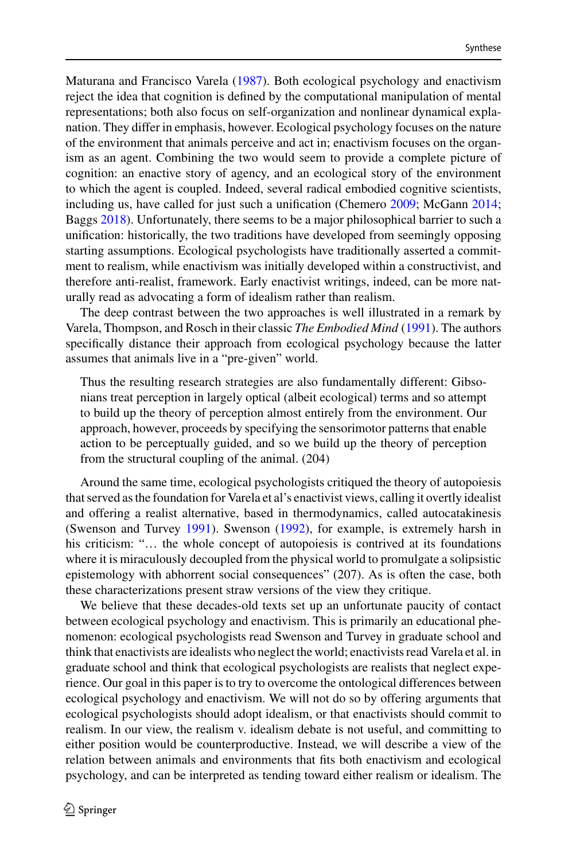Maturana and Francisco Varela [\(1987\)](#page-14-0). Both ecological psychology and enactivism reject the idea that cognition is defined by the computational manipulation of mental representations; both also focus on self-organization and nonlinear dynamical explanation. They differ in emphasis, however. Ecological psychology focuses on the nature of the environment that animals perceive and act in; enactivism focuses on the organism as an agent. Combining the two would seem to provide a complete picture of cognition: an enactive story of agency, and an ecological story of the environment to which the agent is coupled. Indeed, several radical embodied cognitive scientists, including us, have called for just such a unification (Chemero [2009;](#page-14-1) McGann [2014;](#page-14-2) Baggs [2018\)](#page-14-3). Unfortunately, there seems to be a major philosophical barrier to such a unification: historically, the two traditions have developed from seemingly opposing starting assumptions. Ecological psychologists have traditionally asserted a commitment to realism, while enactivism was initially developed within a constructivist, and therefore anti-realist, framework. Early enactivist writings, indeed, can be more naturally read as advocating a form of idealism rather than realism.

The deep contrast between the two approaches is well illustrated in a remark by Varela, Thompson, and Rosch in their classic *The Embodied Mind* [\(1991\)](#page-15-0). The authors specifically distance their approach from ecological psychology because the latter assumes that animals live in a "pre-given" world.

Thus the resulting research strategies are also fundamentally different: Gibsonians treat perception in largely optical (albeit ecological) terms and so attempt to build up the theory of perception almost entirely from the environment. Our approach, however, proceeds by specifying the sensorimotor patterns that enable action to be perceptually guided, and so we build up the theory of perception from the structural coupling of the animal. (204)

Around the same time, ecological psychologists critiqued the theory of autopoiesis that served as the foundation for Varela et al's enactivist views, calling it overtly idealist and offering a realist alternative, based in thermodynamics, called autocatakinesis (Swenson and Turvey [1991\)](#page-15-1). Swenson [\(1992\)](#page-15-2), for example, is extremely harsh in his criticism: "... the whole concept of autopoiesis is contrived at its foundations where it is miraculously decoupled from the physical world to promulgate a solipsistic epistemology with abhorrent social consequences" (207). As is often the case, both these characterizations present straw versions of the view they critique.

We believe that these decades-old texts set up an unfortunate paucity of contact between ecological psychology and enactivism. This is primarily an educational phenomenon: ecological psychologists read Swenson and Turvey in graduate school and think that enactivists are idealists who neglect the world; enactivists read Varela et al. in graduate school and think that ecological psychologists are realists that neglect experience. Our goal in this paper is to try to overcome the ontological differences between ecological psychology and enactivism. We will not do so by offering arguments that ecological psychologists should adopt idealism, or that enactivists should commit to realism. In our view, the realism v. idealism debate is not useful, and committing to either position would be counterproductive. Instead, we will describe a view of the relation between animals and environments that fits both enactivism and ecological psychology, and can be interpreted as tending toward either realism or idealism. The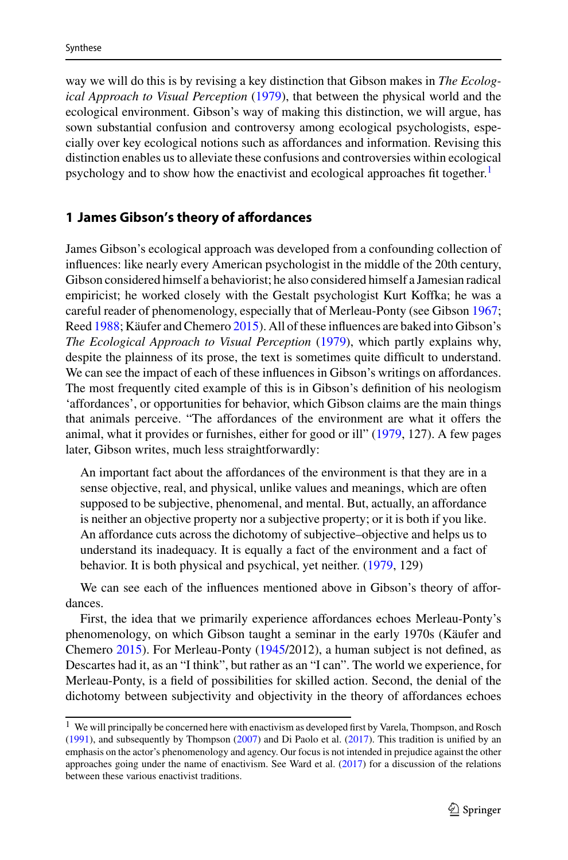way we will do this is by revising a key distinction that Gibson makes in *The Ecological Approach to Visual Perception* [\(1979\)](#page-14-4), that between the physical world and the ecological environment. Gibson's way of making this distinction, we will argue, has sown substantial confusion and controversy among ecological psychologists, especially over key ecological notions such as affordances and information. Revising this distinction enables us to alleviate these confusions and controversies within ecological psychology and to show how the enactivist and ecological approaches fit together.<sup>[1](#page-2-0)</sup>

#### <span id="page-2-1"></span>**1 James Gibson's theory of affordances**

James Gibson's ecological approach was developed from a confounding collection of influences: like nearly every American psychologist in the middle of the 20th century, Gibson considered himself a behaviorist; he also considered himself a Jamesian radical empiricist; he worked closely with the Gestalt psychologist Kurt Koffka; he was a careful reader of phenomenology, especially that of Merleau-Ponty (see Gibson [1967;](#page-14-5) Reed [1988;](#page-15-3) Käufer and Chemero [2015\)](#page-14-6). All of these influences are baked into Gibson's *The Ecological Approach to Visual Perception* [\(1979\)](#page-14-4), which partly explains why, despite the plainness of its prose, the text is sometimes quite difficult to understand. We can see the impact of each of these influences in Gibson's writings on affordances. The most frequently cited example of this is in Gibson's definition of his neologism 'affordances', or opportunities for behavior, which Gibson claims are the main things that animals perceive. "The affordances of the environment are what it offers the animal, what it provides or furnishes, either for good or ill" [\(1979,](#page-14-4) 127). A few pages later, Gibson writes, much less straightforwardly:

An important fact about the affordances of the environment is that they are in a sense objective, real, and physical, unlike values and meanings, which are often supposed to be subjective, phenomenal, and mental. But, actually, an affordance is neither an objective property nor a subjective property; or it is both if you like. An affordance cuts across the dichotomy of subjective–objective and helps us to understand its inadequacy. It is equally a fact of the environment and a fact of behavior. It is both physical and psychical, yet neither. [\(1979,](#page-14-4) 129)

We can see each of the influences mentioned above in Gibson's theory of affordances.

First, the idea that we primarily experience affordances echoes Merleau-Ponty's phenomenology, on which Gibson taught a seminar in the early 1970s (Käufer and Chemero [2015\)](#page-14-6). For Merleau-Ponty [\(1945/](#page-15-4)2012), a human subject is not defined, as Descartes had it, as an "I think", but rather as an "I can". The world we experience, for Merleau-Ponty, is a field of possibilities for skilled action. Second, the denial of the dichotomy between subjectivity and objectivity in the theory of affordances echoes

<span id="page-2-0"></span> $<sup>1</sup>$  We will principally be concerned here with enactivism as developed first by Varela, Thompson, and Rosch</sup> [\(1991\)](#page-15-0), and subsequently by Thompson [\(2007\)](#page-15-5) and Di Paolo et al. [\(2017\)](#page-14-7). This tradition is unified by an emphasis on the actor's phenomenology and agency. Our focus is not intended in prejudice against the other approaches going under the name of enactivism. See Ward et al. [\(2017\)](#page-15-6) for a discussion of the relations between these various enactivist traditions.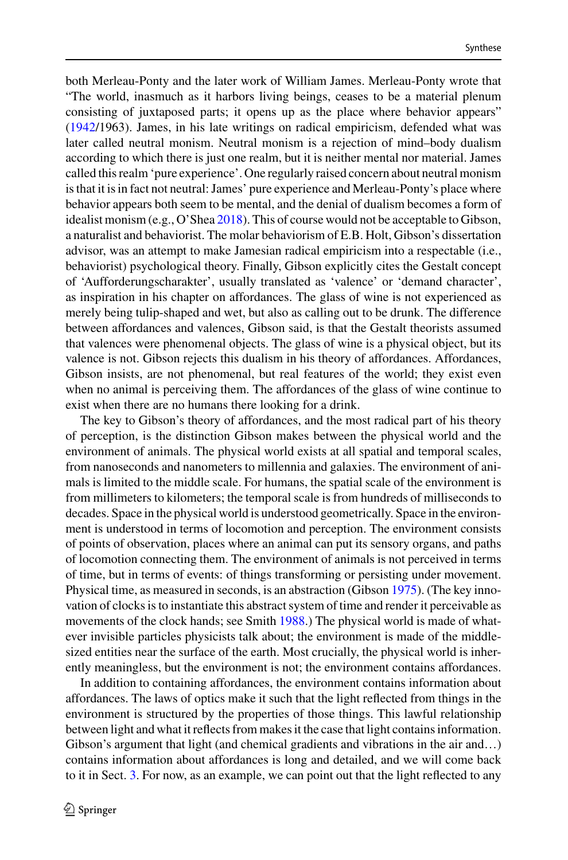both Merleau-Ponty and the later work of William James. Merleau-Ponty wrote that "The world, inasmuch as it harbors living beings, ceases to be a material plenum consisting of juxtaposed parts; it opens up as the place where behavior appears" [\(1942/](#page-15-7)1963). James, in his late writings on radical empiricism, defended what was later called neutral monism. Neutral monism is a rejection of mind–body dualism according to which there is just one realm, but it is neither mental nor material. James called this realm 'pure experience'. One regularly raised concern about neutral monism is that it is in fact not neutral: James' pure experience and Merleau-Ponty's place where behavior appears both seem to be mental, and the denial of dualism becomes a form of idealist monism (e.g., O'Shea [2018\)](#page-15-8). This of course would not be acceptable to Gibson, a naturalist and behaviorist. The molar behaviorism of E.B. Holt, Gibson's dissertation advisor, was an attempt to make Jamesian radical empiricism into a respectable (i.e., behaviorist) psychological theory. Finally, Gibson explicitly cites the Gestalt concept of 'Aufforderungscharakter', usually translated as 'valence' or 'demand character', as inspiration in his chapter on affordances. The glass of wine is not experienced as merely being tulip-shaped and wet, but also as calling out to be drunk. The difference between affordances and valences, Gibson said, is that the Gestalt theorists assumed that valences were phenomenal objects. The glass of wine is a physical object, but its valence is not. Gibson rejects this dualism in his theory of affordances. Affordances, Gibson insists, are not phenomenal, but real features of the world; they exist even when no animal is perceiving them. The affordances of the glass of wine continue to exist when there are no humans there looking for a drink.

The key to Gibson's theory of affordances, and the most radical part of his theory of perception, is the distinction Gibson makes between the physical world and the environment of animals. The physical world exists at all spatial and temporal scales, from nanoseconds and nanometers to millennia and galaxies. The environment of animals is limited to the middle scale. For humans, the spatial scale of the environment is from millimeters to kilometers; the temporal scale is from hundreds of milliseconds to decades. Space in the physical world is understood geometrically. Space in the environment is understood in terms of locomotion and perception. The environment consists of points of observation, places where an animal can put its sensory organs, and paths of locomotion connecting them. The environment of animals is not perceived in terms of time, but in terms of events: of things transforming or persisting under movement. Physical time, as measured in seconds, is an abstraction (Gibson [1975\)](#page-14-8). (The key innovation of clocks is to instantiate this abstract system of time and render it perceivable as movements of the clock hands; see Smith [1988.](#page-15-9)) The physical world is made of whatever invisible particles physicists talk about; the environment is made of the middlesized entities near the surface of the earth. Most crucially, the physical world is inherently meaningless, but the environment is not; the environment contains affordances.

In addition to containing affordances, the environment contains information about affordances. The laws of optics make it such that the light reflected from things in the environment is structured by the properties of those things. This lawful relationship between light and what it reflects from makes it the case that light contains information. Gibson's argument that light (and chemical gradients and vibrations in the air and…) contains information about affordances is long and detailed, and we will come back to it in Sect. [3.](#page-6-0) For now, as an example, we can point out that the light reflected to any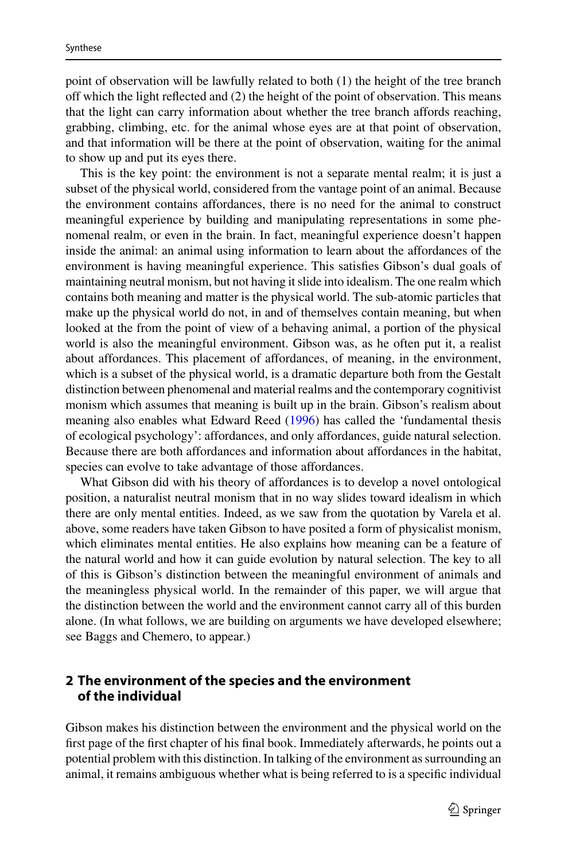point of observation will be lawfully related to both (1) the height of the tree branch off which the light reflected and (2) the height of the point of observation. This means that the light can carry information about whether the tree branch affords reaching, grabbing, climbing, etc. for the animal whose eyes are at that point of observation, and that information will be there at the point of observation, waiting for the animal to show up and put its eyes there.

This is the key point: the environment is not a separate mental realm; it is just a subset of the physical world, considered from the vantage point of an animal. Because the environment contains affordances, there is no need for the animal to construct meaningful experience by building and manipulating representations in some phenomenal realm, or even in the brain. In fact, meaningful experience doesn't happen inside the animal: an animal using information to learn about the affordances of the environment is having meaningful experience. This satisfies Gibson's dual goals of maintaining neutral monism, but not having it slide into idealism. The one realm which contains both meaning and matter is the physical world. The sub-atomic particles that make up the physical world do not, in and of themselves contain meaning, but when looked at the from the point of view of a behaving animal, a portion of the physical world is also the meaningful environment. Gibson was, as he often put it, a realist about affordances. This placement of affordances, of meaning, in the environment, which is a subset of the physical world, is a dramatic departure both from the Gestalt distinction between phenomenal and material realms and the contemporary cognitivist monism which assumes that meaning is built up in the brain. Gibson's realism about meaning also enables what Edward Reed [\(1996\)](#page-15-10) has called the 'fundamental thesis of ecological psychology': affordances, and only affordances, guide natural selection. Because there are both affordances and information about affordances in the habitat, species can evolve to take advantage of those affordances.

What Gibson did with his theory of affordances is to develop a novel ontological position, a naturalist neutral monism that in no way slides toward idealism in which there are only mental entities. Indeed, as we saw from the quotation by Varela et al. above, some readers have taken Gibson to have posited a form of physicalist monism, which eliminates mental entities. He also explains how meaning can be a feature of the natural world and how it can guide evolution by natural selection. The key to all of this is Gibson's distinction between the meaningful environment of animals and the meaningless physical world. In the remainder of this paper, we will argue that the distinction between the world and the environment cannot carry all of this burden alone. (In what follows, we are building on arguments we have developed elsewhere; see Baggs and Chemero, to appear.)

## **2 The environment of the species and the environment of the individual**

Gibson makes his distinction between the environment and the physical world on the first page of the first chapter of his final book. Immediately afterwards, he points out a potential problem with this distinction. In talking of the environment as surrounding an animal, it remains ambiguous whether what is being referred to is a specific individual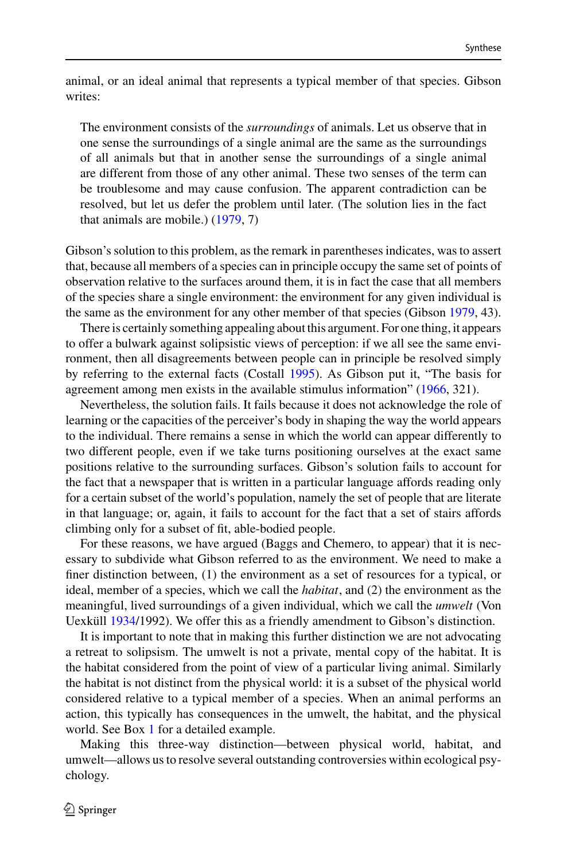animal, or an ideal animal that represents a typical member of that species. Gibson writes:

The environment consists of the *surroundings* of animals. Let us observe that in one sense the surroundings of a single animal are the same as the surroundings of all animals but that in another sense the surroundings of a single animal are different from those of any other animal. These two senses of the term can be troublesome and may cause confusion. The apparent contradiction can be resolved, but let us defer the problem until later. (The solution lies in the fact that animals are mobile.) [\(1979,](#page-14-4) 7)

Gibson's solution to this problem, as the remark in parentheses indicates, was to assert that, because all members of a species can in principle occupy the same set of points of observation relative to the surfaces around them, it is in fact the case that all members of the species share a single environment: the environment for any given individual is the same as the environment for any other member of that species (Gibson [1979,](#page-14-4) 43).

There is certainly something appealing about this argument. For one thing, it appears to offer a bulwark against solipsistic views of perception: if we all see the same environment, then all disagreements between people can in principle be resolved simply by referring to the external facts (Costall [1995\)](#page-14-9). As Gibson put it, "The basis for agreement among men exists in the available stimulus information" [\(1966,](#page-14-10) 321).

Nevertheless, the solution fails. It fails because it does not acknowledge the role of learning or the capacities of the perceiver's body in shaping the way the world appears to the individual. There remains a sense in which the world can appear differently to two different people, even if we take turns positioning ourselves at the exact same positions relative to the surrounding surfaces. Gibson's solution fails to account for the fact that a newspaper that is written in a particular language affords reading only for a certain subset of the world's population, namely the set of people that are literate in that language; or, again, it fails to account for the fact that a set of stairs affords climbing only for a subset of fit, able-bodied people.

For these reasons, we have argued (Baggs and Chemero, to appear) that it is necessary to subdivide what Gibson referred to as the environment. We need to make a finer distinction between, (1) the environment as a set of resources for a typical, or ideal, member of a species, which we call the *habitat*, and (2) the environment as the meaningful, lived surroundings of a given individual, which we call the *umwelt* (Von Uexküll [1934/](#page-15-11)1992). We offer this as a friendly amendment to Gibson's distinction.

It is important to note that in making this further distinction we are not advocating a retreat to solipsism. The umwelt is not a private, mental copy of the habitat. It is the habitat considered from the point of view of a particular living animal. Similarly the habitat is not distinct from the physical world: it is a subset of the physical world considered relative to a typical member of a species. When an animal performs an action, this typically has consequences in the umwelt, the habitat, and the physical world. See Box [1](#page-6-1) for a detailed example.

Making this three-way distinction—between physical world, habitat, and umwelt—allows us to resolve several outstanding controversies within ecological psychology.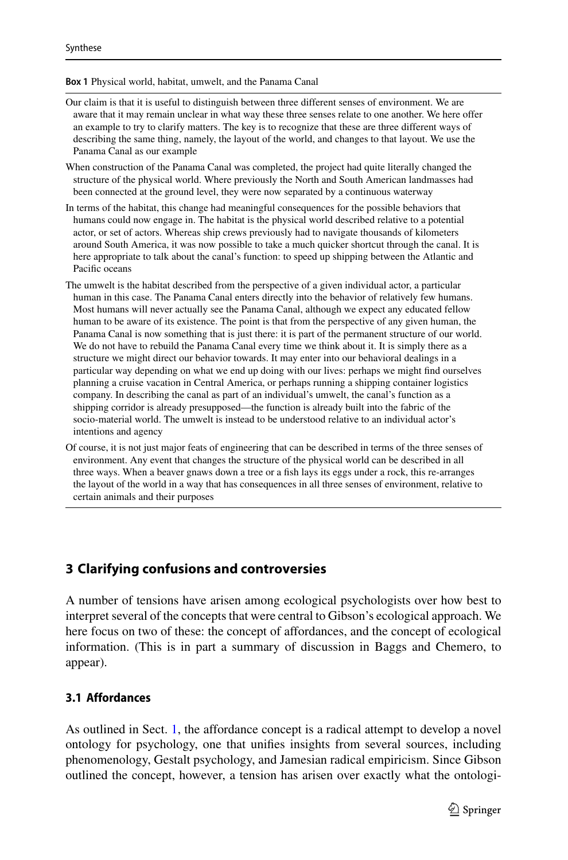<span id="page-6-1"></span>**Box 1** Physical world, habitat, umwelt, and the Panama Canal

- Our claim is that it is useful to distinguish between three different senses of environment. We are aware that it may remain unclear in what way these three senses relate to one another. We here offer an example to try to clarify matters. The key is to recognize that these are three different ways of describing the same thing, namely, the layout of the world, and changes to that layout. We use the Panama Canal as our example
- When construction of the Panama Canal was completed, the project had quite literally changed the structure of the physical world. Where previously the North and South American landmasses had been connected at the ground level, they were now separated by a continuous waterway
- In terms of the habitat, this change had meaningful consequences for the possible behaviors that humans could now engage in. The habitat is the physical world described relative to a potential actor, or set of actors. Whereas ship crews previously had to navigate thousands of kilometers around South America, it was now possible to take a much quicker shortcut through the canal. It is here appropriate to talk about the canal's function: to speed up shipping between the Atlantic and Pacific oceans
- The umwelt is the habitat described from the perspective of a given individual actor, a particular human in this case. The Panama Canal enters directly into the behavior of relatively few humans. Most humans will never actually see the Panama Canal, although we expect any educated fellow human to be aware of its existence. The point is that from the perspective of any given human, the Panama Canal is now something that is just there: it is part of the permanent structure of our world. We do not have to rebuild the Panama Canal every time we think about it. It is simply there as a structure we might direct our behavior towards. It may enter into our behavioral dealings in a particular way depending on what we end up doing with our lives: perhaps we might find ourselves planning a cruise vacation in Central America, or perhaps running a shipping container logistics company. In describing the canal as part of an individual's umwelt, the canal's function as a shipping corridor is already presupposed—the function is already built into the fabric of the socio-material world. The umwelt is instead to be understood relative to an individual actor's intentions and agency
- Of course, it is not just major feats of engineering that can be described in terms of the three senses of environment. Any event that changes the structure of the physical world can be described in all three ways. When a beaver gnaws down a tree or a fish lays its eggs under a rock, this re-arranges the layout of the world in a way that has consequences in all three senses of environment, relative to certain animals and their purposes

## <span id="page-6-0"></span>**3 Clarifying confusions and controversies**

A number of tensions have arisen among ecological psychologists over how best to interpret several of the concepts that were central to Gibson's ecological approach. We here focus on two of these: the concept of affordances, and the concept of ecological information. (This is in part a summary of discussion in Baggs and Chemero, to appear).

#### **3.1 Affordances**

As outlined in Sect. [1,](#page-2-1) the affordance concept is a radical attempt to develop a novel ontology for psychology, one that unifies insights from several sources, including phenomenology, Gestalt psychology, and Jamesian radical empiricism. Since Gibson outlined the concept, however, a tension has arisen over exactly what the ontologi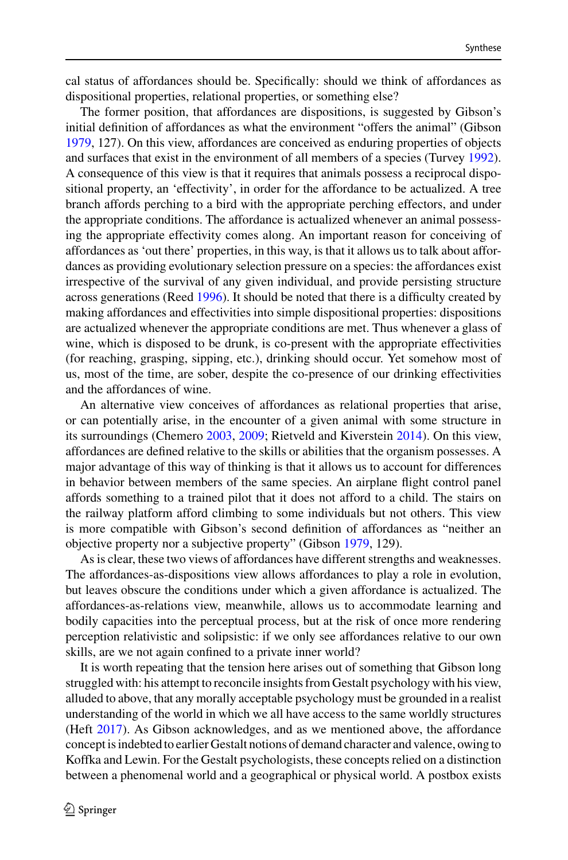cal status of affordances should be. Specifically: should we think of affordances as dispositional properties, relational properties, or something else?

The former position, that affordances are dispositions, is suggested by Gibson's initial definition of affordances as what the environment "offers the animal" (Gibson [1979,](#page-14-4) 127). On this view, affordances are conceived as enduring properties of objects and surfaces that exist in the environment of all members of a species (Turvey [1992\)](#page-15-12). A consequence of this view is that it requires that animals possess a reciprocal dispositional property, an 'effectivity', in order for the affordance to be actualized. A tree branch affords perching to a bird with the appropriate perching effectors, and under the appropriate conditions. The affordance is actualized whenever an animal possessing the appropriate effectivity comes along. An important reason for conceiving of affordances as 'out there' properties, in this way, is that it allows us to talk about affordances as providing evolutionary selection pressure on a species: the affordances exist irrespective of the survival of any given individual, and provide persisting structure across generations (Reed [1996\)](#page-15-10). It should be noted that there is a difficulty created by making affordances and effectivities into simple dispositional properties: dispositions are actualized whenever the appropriate conditions are met. Thus whenever a glass of wine, which is disposed to be drunk, is co-present with the appropriate effectivities (for reaching, grasping, sipping, etc.), drinking should occur. Yet somehow most of us, most of the time, are sober, despite the co-presence of our drinking effectivities and the affordances of wine.

An alternative view conceives of affordances as relational properties that arise, or can potentially arise, in the encounter of a given animal with some structure in its surroundings (Chemero [2003,](#page-14-11) [2009;](#page-14-1) Rietveld and Kiverstein [2014\)](#page-15-13). On this view, affordances are defined relative to the skills or abilities that the organism possesses. A major advantage of this way of thinking is that it allows us to account for differences in behavior between members of the same species. An airplane flight control panel affords something to a trained pilot that it does not afford to a child. The stairs on the railway platform afford climbing to some individuals but not others. This view is more compatible with Gibson's second definition of affordances as "neither an objective property nor a subjective property" (Gibson [1979,](#page-14-4) 129).

As is clear, these two views of affordances have different strengths and weaknesses. The affordances-as-dispositions view allows affordances to play a role in evolution, but leaves obscure the conditions under which a given affordance is actualized. The affordances-as-relations view, meanwhile, allows us to accommodate learning and bodily capacities into the perceptual process, but at the risk of once more rendering perception relativistic and solipsistic: if we only see affordances relative to our own skills, are we not again confined to a private inner world?

It is worth repeating that the tension here arises out of something that Gibson long struggled with: his attempt to reconcile insights from Gestalt psychology with his view, alluded to above, that any morally acceptable psychology must be grounded in a realist understanding of the world in which we all have access to the same worldly structures (Heft [2017\)](#page-14-12). As Gibson acknowledges, and as we mentioned above, the affordance concept is indebted to earlier Gestalt notions of demand character and valence, owing to Koffka and Lewin. For the Gestalt psychologists, these concepts relied on a distinction between a phenomenal world and a geographical or physical world. A postbox exists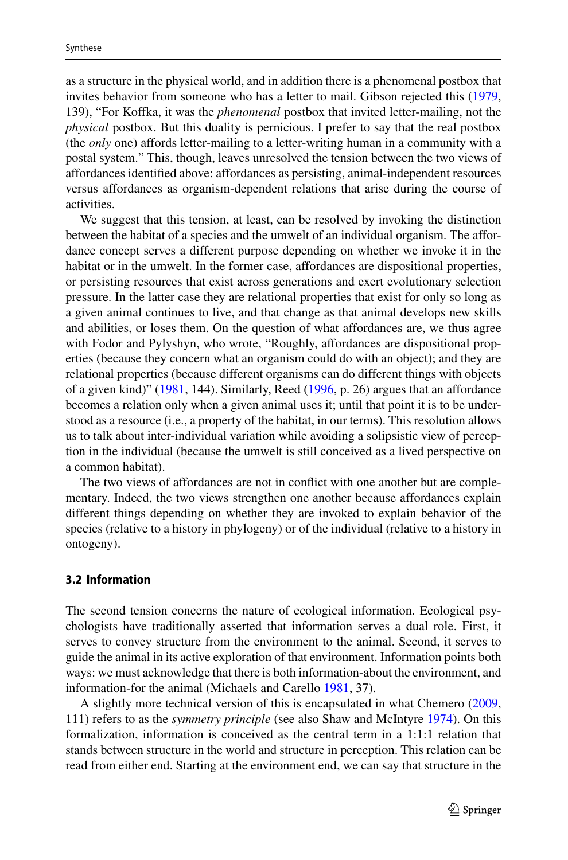as a structure in the physical world, and in addition there is a phenomenal postbox that invites behavior from someone who has a letter to mail. Gibson rejected this [\(1979,](#page-14-4) 139), "For Koffka, it was the *phenomenal* postbox that invited letter-mailing, not the *physical* postbox. But this duality is pernicious. I prefer to say that the real postbox (the *only* one) affords letter-mailing to a letter-writing human in a community with a postal system." This, though, leaves unresolved the tension between the two views of affordances identified above: affordances as persisting, animal-independent resources versus affordances as organism-dependent relations that arise during the course of activities.

We suggest that this tension, at least, can be resolved by invoking the distinction between the habitat of a species and the umwelt of an individual organism. The affordance concept serves a different purpose depending on whether we invoke it in the habitat or in the umwelt. In the former case, affordances are dispositional properties, or persisting resources that exist across generations and exert evolutionary selection pressure. In the latter case they are relational properties that exist for only so long as a given animal continues to live, and that change as that animal develops new skills and abilities, or loses them. On the question of what affordances are, we thus agree with Fodor and Pylyshyn, who wrote, "Roughly, affordances are dispositional properties (because they concern what an organism could do with an object); and they are relational properties (because different organisms can do different things with objects of a given kind)" [\(1981,](#page-14-13) 144). Similarly, Reed [\(1996,](#page-15-10) p. 26) argues that an affordance becomes a relation only when a given animal uses it; until that point it is to be understood as a resource (i.e., a property of the habitat, in our terms). This resolution allows us to talk about inter-individual variation while avoiding a solipsistic view of perception in the individual (because the umwelt is still conceived as a lived perspective on a common habitat).

The two views of affordances are not in conflict with one another but are complementary. Indeed, the two views strengthen one another because affordances explain different things depending on whether they are invoked to explain behavior of the species (relative to a history in phylogeny) or of the individual (relative to a history in ontogeny).

#### **3.2 Information**

The second tension concerns the nature of ecological information. Ecological psychologists have traditionally asserted that information serves a dual role. First, it serves to convey structure from the environment to the animal. Second, it serves to guide the animal in its active exploration of that environment. Information points both ways: we must acknowledge that there is both information-about the environment, and information-for the animal (Michaels and Carello [1981,](#page-15-14) 37).

A slightly more technical version of this is encapsulated in what Chemero [\(2009,](#page-14-1) 111) refers to as the *symmetry principle* (see also Shaw and McIntyre [1974\)](#page-15-15). On this formalization, information is conceived as the central term in a 1:1:1 relation that stands between structure in the world and structure in perception. This relation can be read from either end. Starting at the environment end, we can say that structure in the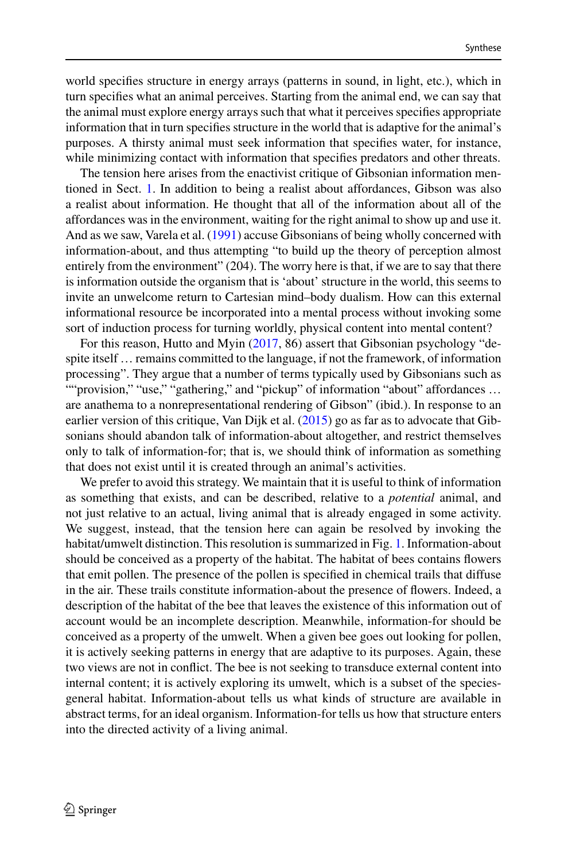world specifies structure in energy arrays (patterns in sound, in light, etc.), which in turn specifies what an animal perceives. Starting from the animal end, we can say that the animal must explore energy arrays such that what it perceives specifies appropriate information that in turn specifies structure in the world that is adaptive for the animal's purposes. A thirsty animal must seek information that specifies water, for instance, while minimizing contact with information that specifies predators and other threats.

The tension here arises from the enactivist critique of Gibsonian information mentioned in Sect. [1.](#page-2-1) In addition to being a realist about affordances, Gibson was also a realist about information. He thought that all of the information about all of the affordances was in the environment, waiting for the right animal to show up and use it. And as we saw, Varela et al. [\(1991\)](#page-15-0) accuse Gibsonians of being wholly concerned with information-about, and thus attempting "to build up the theory of perception almost entirely from the environment" (204). The worry here is that, if we are to say that there is information outside the organism that is 'about' structure in the world, this seems to invite an unwelcome return to Cartesian mind–body dualism. How can this external informational resource be incorporated into a mental process without invoking some sort of induction process for turning worldly, physical content into mental content?

For this reason, Hutto and Myin [\(2017,](#page-14-14) 86) assert that Gibsonian psychology "despite itself … remains committed to the language, if not the framework, of information processing". They argue that a number of terms typically used by Gibsonians such as ""provision," "use," "gathering," and "pickup" of information "about" affordances ... are anathema to a nonrepresentational rendering of Gibson" (ibid.). In response to an earlier version of this critique, Van Dijk et al. [\(2015\)](#page-15-16) go as far as to advocate that Gibsonians should abandon talk of information-about altogether, and restrict themselves only to talk of information-for; that is, we should think of information as something that does not exist until it is created through an animal's activities.

We prefer to avoid this strategy. We maintain that it is useful to think of information as something that exists, and can be described, relative to a *potential* animal, and not just relative to an actual, living animal that is already engaged in some activity. We suggest, instead, that the tension here can again be resolved by invoking the habitat/umwelt distinction. This resolution is summarized in Fig. [1.](#page-10-0) Information-about should be conceived as a property of the habitat. The habitat of bees contains flowers that emit pollen. The presence of the pollen is specified in chemical trails that diffuse in the air. These trails constitute information-about the presence of flowers. Indeed, a description of the habitat of the bee that leaves the existence of this information out of account would be an incomplete description. Meanwhile, information-for should be conceived as a property of the umwelt. When a given bee goes out looking for pollen, it is actively seeking patterns in energy that are adaptive to its purposes. Again, these two views are not in conflict. The bee is not seeking to transduce external content into internal content; it is actively exploring its umwelt, which is a subset of the speciesgeneral habitat. Information-about tells us what kinds of structure are available in abstract terms, for an ideal organism. Information-for tells us how that structure enters into the directed activity of a living animal.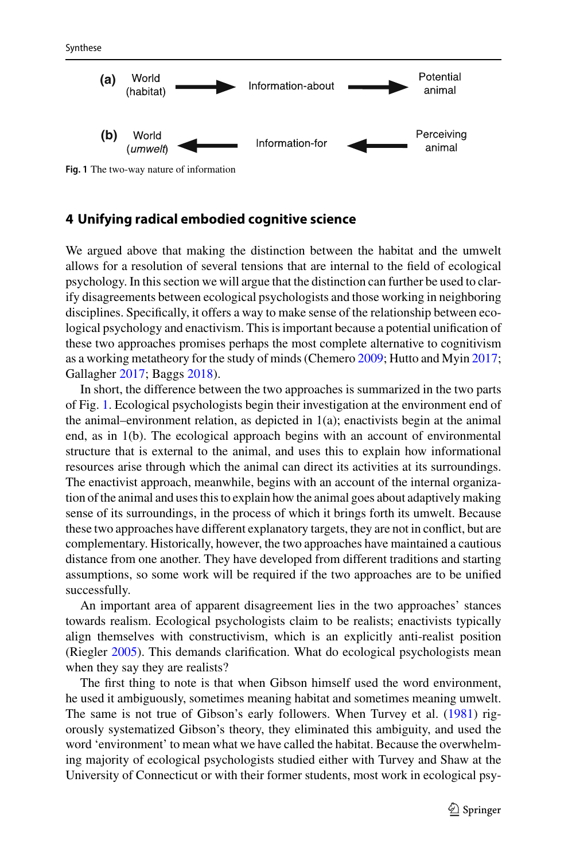

<span id="page-10-0"></span>**Fig. 1** The two-way nature of information

### **4 Unifying radical embodied cognitive science**

We argued above that making the distinction between the habitat and the umwelt allows for a resolution of several tensions that are internal to the field of ecological psychology. In this section we will argue that the distinction can further be used to clarify disagreements between ecological psychologists and those working in neighboring disciplines. Specifically, it offers a way to make sense of the relationship between ecological psychology and enactivism. This is important because a potential unification of these two approaches promises perhaps the most complete alternative to cognitivism as a working metatheory for the study of minds (Chemero [2009;](#page-14-1) Hutto and Myin [2017;](#page-14-14) Gallagher [2017;](#page-14-15) Baggs [2018\)](#page-14-3).

In short, the difference between the two approaches is summarized in the two parts of Fig. [1.](#page-10-0) Ecological psychologists begin their investigation at the environment end of the animal–environment relation, as depicted in 1(a); enactivists begin at the animal end, as in 1(b). The ecological approach begins with an account of environmental structure that is external to the animal, and uses this to explain how informational resources arise through which the animal can direct its activities at its surroundings. The enactivist approach, meanwhile, begins with an account of the internal organization of the animal and uses this to explain how the animal goes about adaptively making sense of its surroundings, in the process of which it brings forth its umwelt. Because these two approaches have different explanatory targets, they are not in conflict, but are complementary. Historically, however, the two approaches have maintained a cautious distance from one another. They have developed from different traditions and starting assumptions, so some work will be required if the two approaches are to be unified successfully.

An important area of apparent disagreement lies in the two approaches' stances towards realism. Ecological psychologists claim to be realists; enactivists typically align themselves with constructivism, which is an explicitly anti-realist position (Riegler [2005\)](#page-15-17). This demands clarification. What do ecological psychologists mean when they say they are realists?

The first thing to note is that when Gibson himself used the word environment, he used it ambiguously, sometimes meaning habitat and sometimes meaning umwelt. The same is not true of Gibson's early followers. When Turvey et al. [\(1981\)](#page-15-18) rigorously systematized Gibson's theory, they eliminated this ambiguity, and used the word 'environment' to mean what we have called the habitat. Because the overwhelming majority of ecological psychologists studied either with Turvey and Shaw at the University of Connecticut or with their former students, most work in ecological psy-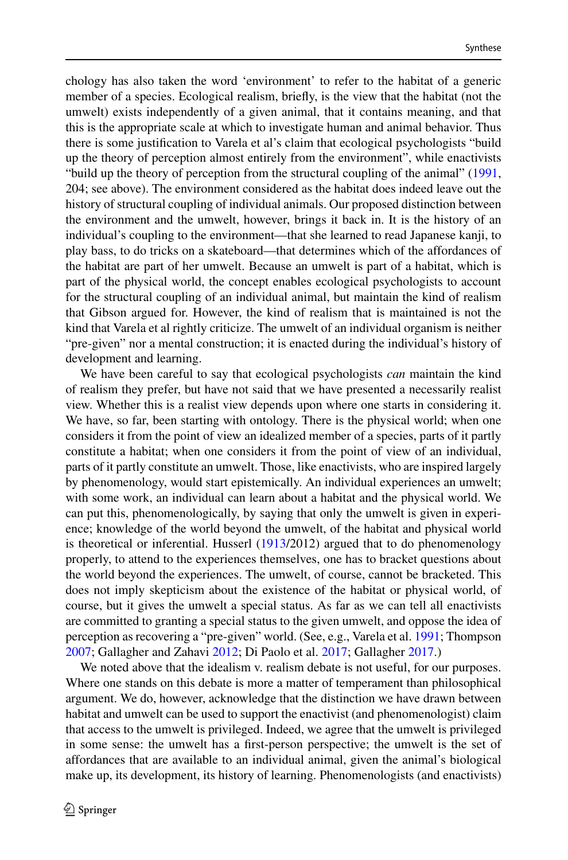chology has also taken the word 'environment' to refer to the habitat of a generic member of a species. Ecological realism, briefly, is the view that the habitat (not the umwelt) exists independently of a given animal, that it contains meaning, and that this is the appropriate scale at which to investigate human and animal behavior. Thus there is some justification to Varela et al's claim that ecological psychologists "build up the theory of perception almost entirely from the environment", while enactivists "build up the theory of perception from the structural coupling of the animal" [\(1991,](#page-15-0) 204; see above). The environment considered as the habitat does indeed leave out the history of structural coupling of individual animals. Our proposed distinction between the environment and the umwelt, however, brings it back in. It is the history of an individual's coupling to the environment—that she learned to read Japanese kanji, to play bass, to do tricks on a skateboard—that determines which of the affordances of the habitat are part of her umwelt. Because an umwelt is part of a habitat, which is part of the physical world, the concept enables ecological psychologists to account for the structural coupling of an individual animal, but maintain the kind of realism that Gibson argued for. However, the kind of realism that is maintained is not the kind that Varela et al rightly criticize. The umwelt of an individual organism is neither "pre-given" nor a mental construction; it is enacted during the individual's history of development and learning.

We have been careful to say that ecological psychologists *can* maintain the kind of realism they prefer, but have not said that we have presented a necessarily realist view. Whether this is a realist view depends upon where one starts in considering it. We have, so far, been starting with ontology. There is the physical world; when one considers it from the point of view an idealized member of a species, parts of it partly constitute a habitat; when one considers it from the point of view of an individual, parts of it partly constitute an umwelt. Those, like enactivists, who are inspired largely by phenomenology, would start epistemically. An individual experiences an umwelt; with some work, an individual can learn about a habitat and the physical world. We can put this, phenomenologically, by saying that only the umwelt is given in experience; knowledge of the world beyond the umwelt, of the habitat and physical world is theoretical or inferential. Husserl [\(1913/](#page-14-16)2012) argued that to do phenomenology properly, to attend to the experiences themselves, one has to bracket questions about the world beyond the experiences. The umwelt, of course, cannot be bracketed. This does not imply skepticism about the existence of the habitat or physical world, of course, but it gives the umwelt a special status. As far as we can tell all enactivists are committed to granting a special status to the given umwelt, and oppose the idea of perception as recovering a "pre-given" world. (See, e.g., Varela et al. [1991;](#page-15-0) Thompson [2007;](#page-15-5) Gallagher and Zahavi [2012;](#page-14-17) Di Paolo et al. [2017;](#page-14-7) Gallagher [2017.](#page-14-15))

We noted above that the idealism v. realism debate is not useful, for our purposes. Where one stands on this debate is more a matter of temperament than philosophical argument. We do, however, acknowledge that the distinction we have drawn between habitat and umwelt can be used to support the enactivist (and phenomenologist) claim that access to the umwelt is privileged. Indeed, we agree that the umwelt is privileged in some sense: the umwelt has a first-person perspective; the umwelt is the set of affordances that are available to an individual animal, given the animal's biological make up, its development, its history of learning. Phenomenologists (and enactivists)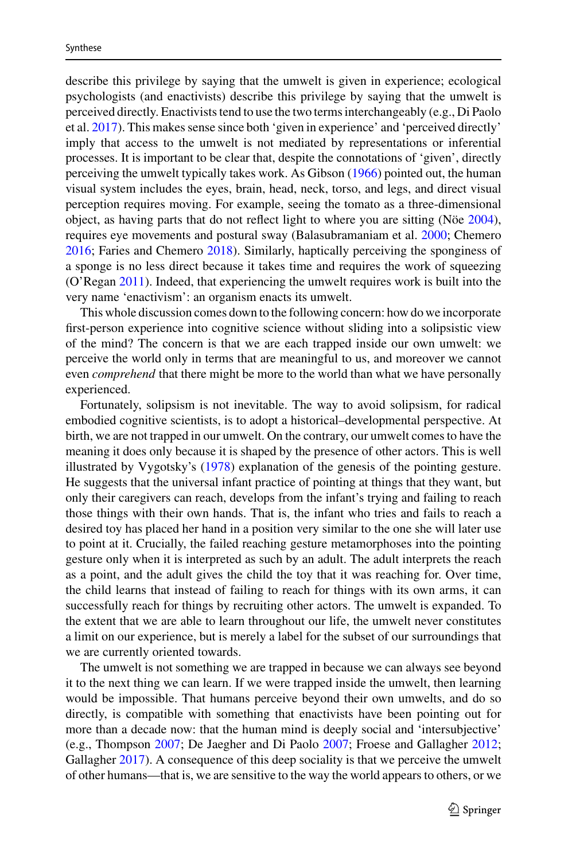describe this privilege by saying that the umwelt is given in experience; ecological psychologists (and enactivists) describe this privilege by saying that the umwelt is perceived directly. Enactivists tend to use the two terms interchangeably (e.g., Di Paolo et al. [2017\)](#page-14-7). This makes sense since both 'given in experience' and 'perceived directly' imply that access to the umwelt is not mediated by representations or inferential processes. It is important to be clear that, despite the connotations of 'given', directly perceiving the umwelt typically takes work. As Gibson [\(1966\)](#page-14-10) pointed out, the human visual system includes the eyes, brain, head, neck, torso, and legs, and direct visual perception requires moving. For example, seeing the tomato as a three-dimensional object, as having parts that do not reflect light to where you are sitting (Nöe [2004\)](#page-15-19), requires eye movements and postural sway (Balasubramaniam et al. [2000;](#page-14-18) Chemero [2016;](#page-14-19) Faries and Chemero [2018\)](#page-14-20). Similarly, haptically perceiving the sponginess of a sponge is no less direct because it takes time and requires the work of squeezing (O'Regan [2011\)](#page-15-20). Indeed, that experiencing the umwelt requires work is built into the very name 'enactivism': an organism enacts its umwelt.

This whole discussion comes down to the following concern: how do we incorporate first-person experience into cognitive science without sliding into a solipsistic view of the mind? The concern is that we are each trapped inside our own umwelt: we perceive the world only in terms that are meaningful to us, and moreover we cannot even *comprehend* that there might be more to the world than what we have personally experienced.

Fortunately, solipsism is not inevitable. The way to avoid solipsism, for radical embodied cognitive scientists, is to adopt a historical–developmental perspective. At birth, we are not trapped in our umwelt. On the contrary, our umwelt comes to have the meaning it does only because it is shaped by the presence of other actors. This is well illustrated by Vygotsky's [\(1978\)](#page-15-21) explanation of the genesis of the pointing gesture. He suggests that the universal infant practice of pointing at things that they want, but only their caregivers can reach, develops from the infant's trying and failing to reach those things with their own hands. That is, the infant who tries and fails to reach a desired toy has placed her hand in a position very similar to the one she will later use to point at it. Crucially, the failed reaching gesture metamorphoses into the pointing gesture only when it is interpreted as such by an adult. The adult interprets the reach as a point, and the adult gives the child the toy that it was reaching for. Over time, the child learns that instead of failing to reach for things with its own arms, it can successfully reach for things by recruiting other actors. The umwelt is expanded. To the extent that we are able to learn throughout our life, the umwelt never constitutes a limit on our experience, but is merely a label for the subset of our surroundings that we are currently oriented towards.

The umwelt is not something we are trapped in because we can always see beyond it to the next thing we can learn. If we were trapped inside the umwelt, then learning would be impossible. That humans perceive beyond their own umwelts, and do so directly, is compatible with something that enactivists have been pointing out for more than a decade now: that the human mind is deeply social and 'intersubjective' (e.g., Thompson [2007;](#page-15-5) De Jaegher and Di Paolo [2007;](#page-14-21) Froese and Gallagher [2012;](#page-14-22) Gallagher [2017\)](#page-14-15). A consequence of this deep sociality is that we perceive the umwelt of other humans—that is, we are sensitive to the way the world appears to others, or we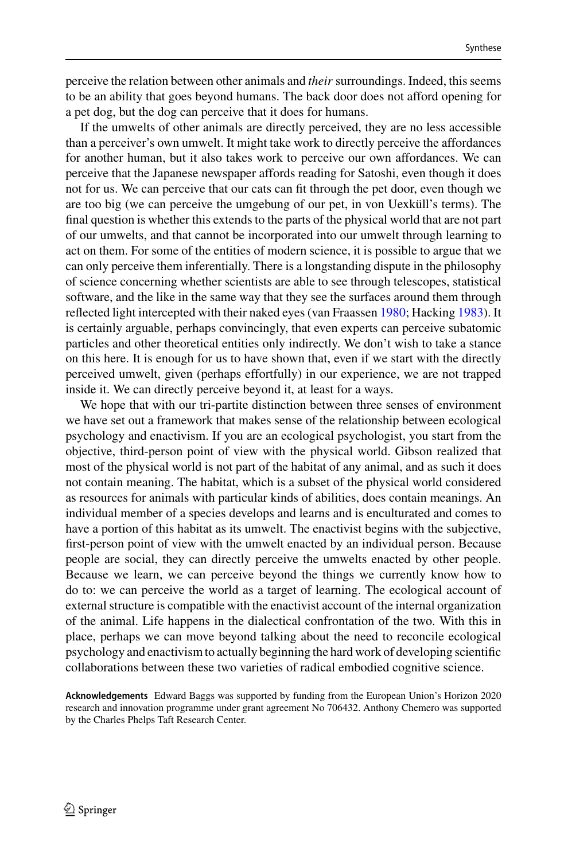perceive the relation between other animals and *their* surroundings. Indeed, this seems to be an ability that goes beyond humans. The back door does not afford opening for a pet dog, but the dog can perceive that it does for humans.

If the umwelts of other animals are directly perceived, they are no less accessible than a perceiver's own umwelt. It might take work to directly perceive the affordances for another human, but it also takes work to perceive our own affordances. We can perceive that the Japanese newspaper affords reading for Satoshi, even though it does not for us. We can perceive that our cats can fit through the pet door, even though we are too big (we can perceive the umgebung of our pet, in von Uexküll's terms). The final question is whether this extends to the parts of the physical world that are not part of our umwelts, and that cannot be incorporated into our umwelt through learning to act on them. For some of the entities of modern science, it is possible to argue that we can only perceive them inferentially. There is a longstanding dispute in the philosophy of science concerning whether scientists are able to see through telescopes, statistical software, and the like in the same way that they see the surfaces around them through reflected light intercepted with their naked eyes (van Fraassen [1980;](#page-15-22) Hacking [1983\)](#page-14-23). It is certainly arguable, perhaps convincingly, that even experts can perceive subatomic particles and other theoretical entities only indirectly. We don't wish to take a stance on this here. It is enough for us to have shown that, even if we start with the directly perceived umwelt, given (perhaps effortfully) in our experience, we are not trapped inside it. We can directly perceive beyond it, at least for a ways.

We hope that with our tri-partite distinction between three senses of environment we have set out a framework that makes sense of the relationship between ecological psychology and enactivism. If you are an ecological psychologist, you start from the objective, third-person point of view with the physical world. Gibson realized that most of the physical world is not part of the habitat of any animal, and as such it does not contain meaning. The habitat, which is a subset of the physical world considered as resources for animals with particular kinds of abilities, does contain meanings. An individual member of a species develops and learns and is enculturated and comes to have a portion of this habitat as its umwelt. The enactivist begins with the subjective, first-person point of view with the umwelt enacted by an individual person. Because people are social, they can directly perceive the umwelts enacted by other people. Because we learn, we can perceive beyond the things we currently know how to do to: we can perceive the world as a target of learning. The ecological account of external structure is compatible with the enactivist account of the internal organization of the animal. Life happens in the dialectical confrontation of the two. With this in place, perhaps we can move beyond talking about the need to reconcile ecological psychology and enactivism to actually beginning the hard work of developing scientific collaborations between these two varieties of radical embodied cognitive science.

**Acknowledgements** Edward Baggs was supported by funding from the European Union's Horizon 2020 research and innovation programme under grant agreement No 706432. Anthony Chemero was supported by the Charles Phelps Taft Research Center.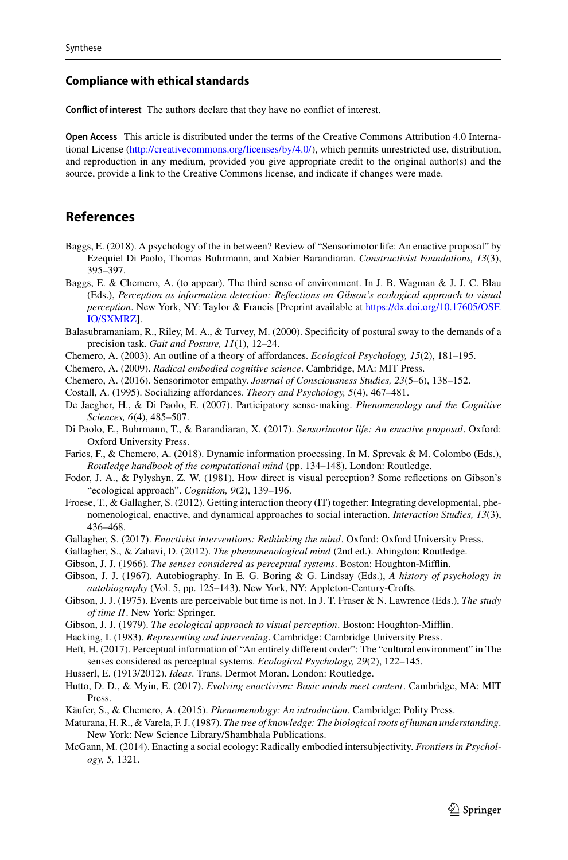#### **Compliance with ethical standards**

**Conflict of interest** The authors declare that they have no conflict of interest.

**Open Access** This article is distributed under the terms of the Creative Commons Attribution 4.0 International License [\(http://creativecommons.org/licenses/by/4.0/\)](http://creativecommons.org/licenses/by/4.0/), which permits unrestricted use, distribution, and reproduction in any medium, provided you give appropriate credit to the original author(s) and the source, provide a link to the Creative Commons license, and indicate if changes were made.

## **References**

- <span id="page-14-3"></span>Baggs, E. (2018). A psychology of the in between? Review of "Sensorimotor life: An enactive proposal" by Ezequiel Di Paolo, Thomas Buhrmann, and Xabier Barandiaran. *Constructivist Foundations, 13*(3), 395–397.
- Baggs, E. & Chemero, A. (to appear). The third sense of environment. In J. B. Wagman & J. J. C. Blau (Eds.), *Perception as information detection: Reflections on Gibson's ecological approach to visual perception*[. New York, NY: Taylor & Francis \[Preprint available at](https://dx.doi.org/10.17605/OSF.IO/SXMRZ) https://dx.doi.org/10.17605/OSF. IO/SXMRZ].
- <span id="page-14-18"></span>Balasubramaniam, R., Riley, M. A., & Turvey, M. (2000). Specificity of postural sway to the demands of a precision task. *Gait and Posture, 11*(1), 12–24.
- <span id="page-14-11"></span>Chemero, A. (2003). An outline of a theory of affordances. *Ecological Psychology, 15*(2), 181–195.
- <span id="page-14-1"></span>Chemero, A. (2009). *Radical embodied cognitive science*. Cambridge, MA: MIT Press.
- <span id="page-14-19"></span>Chemero, A. (2016). Sensorimotor empathy. *Journal of Consciousness Studies, 23*(5–6), 138–152.
- <span id="page-14-9"></span>Costall, A. (1995). Socializing affordances. *Theory and Psychology, 5*(4), 467–481.
- <span id="page-14-21"></span>De Jaegher, H., & Di Paolo, E. (2007). Participatory sense-making. *Phenomenology and the Cognitive Sciences, 6*(4), 485–507.
- <span id="page-14-7"></span>Di Paolo, E., Buhrmann, T., & Barandiaran, X. (2017). *Sensorimotor life: An enactive proposal*. Oxford: Oxford University Press.
- <span id="page-14-20"></span>Faries, F., & Chemero, A. (2018). Dynamic information processing. In M. Sprevak & M. Colombo (Eds.), *Routledge handbook of the computational mind* (pp. 134–148). London: Routledge.
- <span id="page-14-13"></span>Fodor, J. A., & Pylyshyn, Z. W. (1981). How direct is visual perception? Some reflections on Gibson's "ecological approach". *Cognition, 9*(2), 139–196.
- <span id="page-14-22"></span>Froese, T., & Gallagher, S. (2012). Getting interaction theory (IT) together: Integrating developmental, phenomenological, enactive, and dynamical approaches to social interaction. *Interaction Studies, 13*(3), 436–468.
- <span id="page-14-15"></span>Gallagher, S. (2017). *Enactivist interventions: Rethinking the mind*. Oxford: Oxford University Press.
- <span id="page-14-17"></span>Gallagher, S., & Zahavi, D. (2012). *The phenomenological mind* (2nd ed.). Abingdon: Routledge.
- <span id="page-14-10"></span>Gibson, J. J. (1966). *The senses considered as perceptual systems*. Boston: Houghton-Mifflin.
- <span id="page-14-5"></span>Gibson, J. J. (1967). Autobiography. In E. G. Boring & G. Lindsay (Eds.), *A history of psychology in autobiography* (Vol. 5, pp. 125–143). New York, NY: Appleton-Century-Crofts.
- <span id="page-14-8"></span>Gibson, J. J. (1975). Events are perceivable but time is not. In J. T. Fraser & N. Lawrence (Eds.), *The study of time II*. New York: Springer.
- <span id="page-14-4"></span>Gibson, J. J. (1979). *The ecological approach to visual perception*. Boston: Houghton-Mifflin.
- <span id="page-14-23"></span>Hacking, I. (1983). *Representing and intervening*. Cambridge: Cambridge University Press.
- <span id="page-14-12"></span>Heft, H. (2017). Perceptual information of "An entirely different order": The "cultural environment" in The senses considered as perceptual systems. *Ecological Psychology, 29*(2), 122–145.
- <span id="page-14-16"></span>Husserl, E. (1913/2012). *Ideas*. Trans. Dermot Moran. London: Routledge.
- <span id="page-14-14"></span>Hutto, D. D., & Myin, E. (2017). *Evolving enactivism: Basic minds meet content*. Cambridge, MA: MIT Press.
- <span id="page-14-6"></span>Käufer, S., & Chemero, A. (2015). *Phenomenology: An introduction*. Cambridge: Polity Press.
- <span id="page-14-0"></span>Maturana, H. R., & Varela, F. J. (1987). *The tree of knowledge: The biological roots of human understanding*. New York: New Science Library/Shambhala Publications.
- <span id="page-14-2"></span>McGann, M. (2014). Enacting a social ecology: Radically embodied intersubjectivity. *Frontiers in Psychology, 5,* 1321.